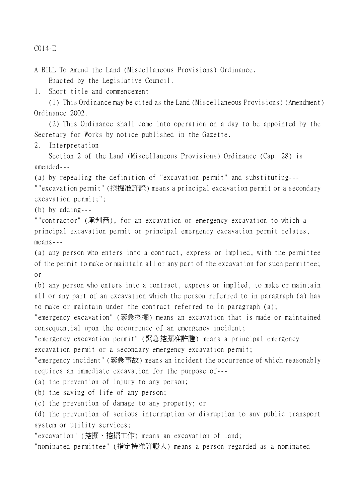C014-E

A BILL To Amend the Land (Miscellaneous Provisions) Ordinance. Enacted by the Legislative Council.

1. Short title and commencement

(1) This Ordinance may be cited as the Land (Miscellaneous Provisions) (Amendment) Ordinance 2002.

(2) This Ordinance shall come into operation on a day to be appointed by the Secretary for Works by notice published in the Gazette.

2. Interpretation

Section 2 of the Land (Miscellaneous Provisions) Ordinance (Cap. 28) is amended---

(a) by repealing the definition of "excavation permit" and substituting---

""excavation permit" (挖掘准許證) means a principal excavation permit or a secondary excavation permit;";

(b) by adding---

""contractor" (承判商), for an excavation or emergency excavation to which a principal excavation permit or principal emergency excavation permit relates, means---

(a) any person who enters into a contract, express or implied, with the permittee of the permit to make or maintain all or any part of the excavation for such permittee; or

(b) any person who enters into a contract, express or implied, to make or maintain all or any part of an excavation which the person referred to in paragraph (a) has to make or maintain under the contract referred to in paragraph (a);

"emergency excavation" (緊急挖掘) means an excavation that is made or maintained consequential upon the occurrence of an emergency incident;

"emergency excavation permit" (緊急挖掘准許證) means a principal emergency excavation permit or a secondary emergency excavation permit;

"emergency incident" (緊急事故) means an incident the occurrence of which reasonably requires an immediate excavation for the purpose of---

(a) the prevention of injury to any person;

(b) the saving of life of any person;

(c) the prevention of damage to any property; or

(d) the prevention of serious interruption or disruption to any public transport system or utility services;

"excavation" (挖掘、挖掘工作) means an excavation of land;

"nominated permittee" (指定持准許證㆟) means a person regarded as a nominated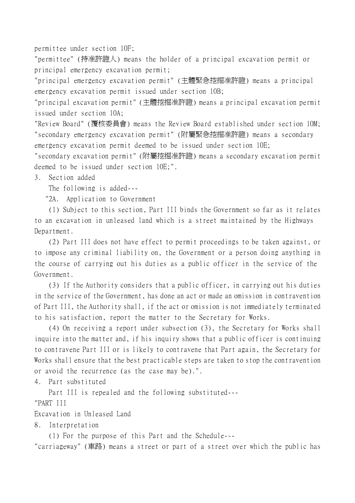permittee under section 10F;

"permittee" (持准許證㆟) means the holder of a principal excavation permit or principal emergency excavation permit;

"principal emergency excavation permit" (主體緊急挖掘准許證) means a principal emergency excavation permit issued under section 10B;

"principal excavation permit" (主體挖掘准許證) means a principal excavation permit issued under section 10A;

"Review Board" (覆核委員會) means the Review Board established under section 10M; "secondary emergency excavation permit" (附屬緊急挖掘准許證) means a secondary emergency excavation permit deemed to be issued under section 10E;

"secondary excavation permit" (附屬挖掘准許證) means a secondary excavation permit deemed to be issued under section 10E;".

3. Section added

The following is added---

"2A. Application to Government

(1) Subject to this section, Part III binds the Government so far as it relates to an excavation in unleased land which is a street maintained by the Highways Department.

(2) Part III does not have effect to permit proceedings to be taken against, or to impose any criminal liability on, the Government or a person doing anything in the course of carrying out his duties as a public officer in the service of the Government.

(3) If the Authority considers that a public officer, in carrying out his duties in the service of the Government, has done an act or made an omission in contravention of Part III, the Authority shall, if the act or omission is not immediately terminated to his satisfaction, report the matter to the Secretary for Works.

(4) On receiving a report under subsection (3), the Secretary for Works shall inquire into the matter and, if his inquiry shows that a public officer is continuing to contravene Part III or is likely to contravene that Part again, the Secretary for Works shall ensure that the best practicable steps are taken to stop the contravention or avoid the recurrence (as the case may be).".

4. Part substituted

Part III is repealed and the following substituted---

"PART III

Excavation in Unleased Land

8. Interpretation

(1) For the purpose of this Part and the Schedule---

"carriageway" (車路) means a street or part of a street over which the public has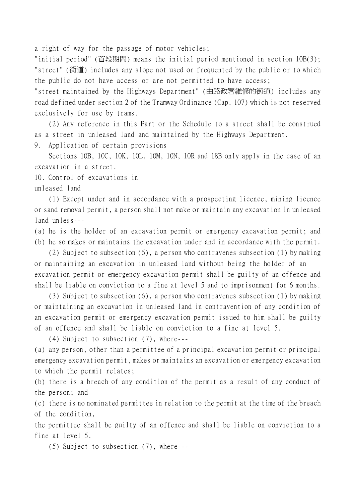a right of way for the passage of motor vehicles;

"initial period" (首段期間) means the initial period mentioned in section 10B(3); "street" (街道) includes any slope not used or frequented by the public or to which the public do not have access or are not permitted to have access;

"street maintained by the Highways Department" (由路政署維修的街道) includes any road defined under section 2 of the Tramway Ordinance (Cap. 107) which is not reserved exclusively for use by trams.

(2) Any reference in this Part or the Schedule to a street shall be construed as a street in unleased land and maintained by the Highways Department.

9. Application of certain provisions

Sections 10B, 10C, 10K, 10L, 10M, 10N, 10R and 18B only apply in the case of an excavation in a street.

10. Control of excavations in

unleased land

(1) Except under and in accordance with a prospecting licence, mining licence or sand removal permit, a person shall not make or maintain any excavation in unleased land unless---

(a) he is the holder of an excavation permit or emergency excavation permit; and (b) he so makes or maintains the excavation under and in accordance with the permit.

(2) Subject to subsection (6), a person who contravenes subsection (1) by making or maintaining an excavation in unleased land without being the holder of an excavation permit or emergency excavation permit shall be guilty of an offence and shall be liable on conviction to a fine at level 5 and to imprisonment for 6 months.

(3) Subject to subsection (6), a person who contravenes subsection (1) by making or maintaining an excavation in unleased land in contravention of any condition of an excavation permit or emergency excavation permit issued to him shall be guilty of an offence and shall be liable on conviction to a fine at level 5.

(4) Subject to subsection (7), where---

(a) any person, other than a permittee of a principal excavation permit or principal emergency excavation permit, makes or maintains an excavation or emergency excavation to which the permit relates;

(b) there is a breach of any condition of the permit as a result of any conduct of the person; and

(c) there is no nominated permittee in relation to the permit at the time of the breach of the condition,

the permittee shall be guilty of an offence and shall be liable on conviction to a fine at level 5.

(5) Subject to subsection (7), where---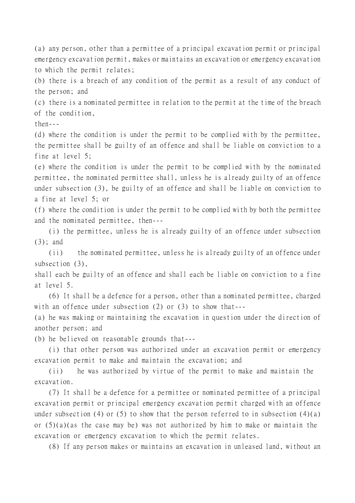(a) any person, other than a permittee of a principal excavation permit or principal emergency excavation permit, makes or maintains an excavation or emergency excavation to which the permit relates;

(b) there is a breach of any condition of the permit as a result of any conduct of the person; and

(c) there is a nominated permittee in relation to the permit at the time of the breach of the condition,

 $then--$ 

(d) where the condition is under the permit to be complied with by the permittee, the permittee shall be guilty of an offence and shall be liable on conviction to a fine at level 5;

(e) where the condition is under the permit to be complied with by the nominated permittee, the nominated permittee shall, unless he is already guilty of an offence under subsection (3), be guilty of an offence and shall be liable on conviction to a fine at level 5; or

(f) where the condition is under the permit to be complied with by both the permittee and the nominated permittee, then---

(i) the permittee, unless he is already guilty of an offence under subsection (3); and

(ii) the nominated permittee, unless he is already guilty of an offence under subsection  $(3)$ ,

shall each be guilty of an offence and shall each be liable on conviction to a fine at level 5.

(6) It shall be a defence for a person, other than a nominated permittee, charged with an offence under subsection (2) or (3) to show that---

(a) he was making or maintaining the excavation in question under the direction of another person; and

(b) he believed on reasonable grounds that---

(i) that other person was authorized under an excavation permit or emergency excavation permit to make and maintain the excavation; and

(ii) he was authorized by virtue of the permit to make and maintain the excavation.

(7) It shall be a defence for a permittee or nominated permittee of a principal excavation permit or principal emergency excavation permit charged with an offence under subsection (4) or (5) to show that the person referred to in subsection  $(4)(a)$ or (5)(a)(as the case may be) was not authorized by him to make or maintain the excavation or emergency excavation to which the permit relates.

(8) If any person makes or maintains an excavation in unleased land, without an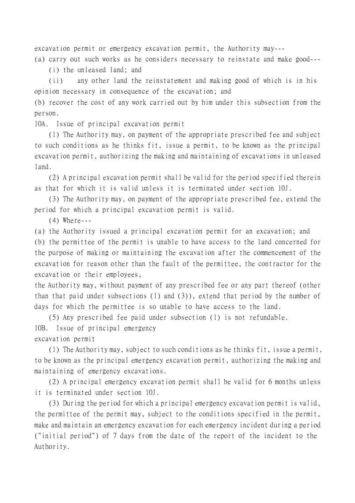excavation permit or emergency excavation permit, the Authority may---

(a) carry out such works as he considers necessary to reinstate and make good--- (i) the unleased land; and

(ii) any other land the reinstatement and making good of which is in his opinion necessary in consequence of the excavation; and

(b) recover the cost of any work carried out by him under this subsection from the person.

10A. Issue of principal excavation permit

(1) The Authority may, on payment of the appropriate prescribed fee and subject to such conditions as he thinks fit, issue a permit, to be known as the principal excavation permit, authorizing the making and maintaining of excavations in unleased land.

(2) A principal excavation permit shall be valid for the period specified therein as that for which it is valid unless it is terminated under section 10J.

(3) The Authority may, on payment of the appropriate prescribed fee, extend the period for which a principal excavation permit is valid.

(4) Where---

(a) the Authority issued a principal excavation permit for an excavation; and

(b) the permittee of the permit is unable to have access to the land concerned for the purpose of making or maintaining the excavation after the commencement of the excavation for reason other than the fault of the permittee, the contractor for the excavation or their employees,

the Authority may, without payment of any prescribed fee or any part thereof (other than that paid under subsections (1) and (3)), extend that period by the number of days for which the permittee is so unable to have access to the land.

(5) Any prescribed fee paid under subsection (1) is not refundable. 10B. Issue of principal emergency excavation permit

(1) The Authority may, subject to such conditions as he thinks fit, issue a permit, to be known as the principal emergency excavation permit, authorizing the making and maintaining of emergency excavations.

(2) A principal emergency excavation permit shall be valid for 6 months unless it is terminated under section 10J.

(3) During the period for which a principal emergency excavation permit is valid, the permittee of the permit may, subject to the conditions specified in the permit, make and maintain an emergency excavation for each emergency incident during a period ("initial period") of 7 days from the date of the report of the incident to the Authority.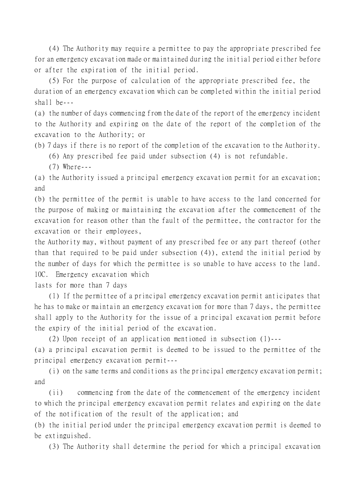(4) The Authority may require a permittee to pay the appropriate prescribed fee for an emergency excavation made or maintained during the initial period either before or after the expiration of the initial period.

(5) For the purpose of calculation of the appropriate prescribed fee, the duration of an emergency excavation which can be completed within the initial period shall be---

(a) the number of days commencing from the date of the report of the emergency incident to the Authority and expiring on the date of the report of the completion of the excavation to the Authority; or

(b) 7 days if there is no report of the completion of the excavation to the Authority. (6) Any prescribed fee paid under subsection (4) is not refundable.

(7) Where---

(a) the Authority issued a principal emergency excavation permit for an excavation; and

(b) the permittee of the permit is unable to have access to the land concerned for the purpose of making or maintaining the excavation after the commencement of the excavation for reason other than the fault of the permittee, the contractor for the excavation or their employees,

the Authority may, without payment of any prescribed fee or any part thereof (other than that required to be paid under subsection (4)), extend the initial period by the number of days for which the permittee is so unable to have access to the land. 10C. Emergency excavation which

lasts for more than 7 days

(1) If the permittee of a principal emergency excavation permit anticipates that he has to make or maintain an emergency excavation for more than 7 days, the permittee shall apply to the Authority for the issue of a principal excavation permit before the expiry of the initial period of the excavation.

(2) Upon receipt of an application mentioned in subsection (1)---

(a) a principal excavation permit is deemed to be issued to the permittee of the principal emergency excavation permit---

(i) on the same terms and conditions as the principal emergency excavation permit; and

(ii) commencing from the date of the commencement of the emergency incident to which the principal emergency excavation permit relates and expiring on the date of the notification of the result of the application; and

(b) the initial period under the principal emergency excavation permit is deemed to be extinguished.

(3) The Authority shall determine the period for which a principal excavation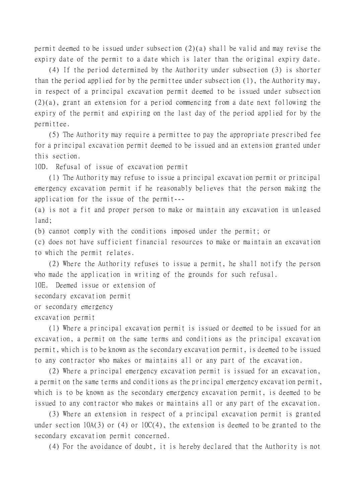permit deemed to be issued under subsection (2)(a) shall be valid and may revise the expiry date of the permit to a date which is later than the original expiry date.

(4) If the period determined by the Authority under subsection (3) is shorter than the period applied for by the permittee under subsection (1), the Authority may, in respect of a principal excavation permit deemed to be issued under subsection (2)(a), grant an extension for a period commencing from a date next following the expiry of the permit and expiring on the last day of the period applied for by the permittee.

(5) The Authority may require a permittee to pay the appropriate prescribed fee for a principal excavation permit deemed to be issued and an extension granted under this section.

10D. Refusal of issue of excavation permit

(1) The Authority may refuse to issue a principal excavation permit or principal emergency excavation permit if he reasonably believes that the person making the application for the issue of the permit---

(a) is not a fit and proper person to make or maintain any excavation in unleased land;

(b) cannot comply with the conditions imposed under the permit; or

(c) does not have sufficient financial resources to make or maintain an excavation to which the permit relates.

(2) Where the Authority refuses to issue a permit, he shall notify the person who made the application in writing of the grounds for such refusal.

10E. Deemed issue or extension of

secondary excavation permit

or secondary emergency

excavation permit

(1) Where a principal excavation permit is issued or deemed to be issued for an excavation, a permit on the same terms and conditions as the principal excavation permit, which is to be known as the secondary excavation permit, is deemed to be issued to any contractor who makes or maintains all or any part of the excavation.

(2) Where a principal emergency excavation permit is issued for an excavation, a permit on the same terms and conditions as the principal emergency excavation permit, which is to be known as the secondary emergency excavation permit, is deemed to be issued to any contractor who makes or maintains all or any part of the excavation.

(3) Where an extension in respect of a principal excavation permit is granted under section  $10A(3)$  or  $(4)$  or  $10C(4)$ , the extension is deemed to be granted to the secondary excavation permit concerned.

(4) For the avoidance of doubt, it is hereby declared that the Authority is not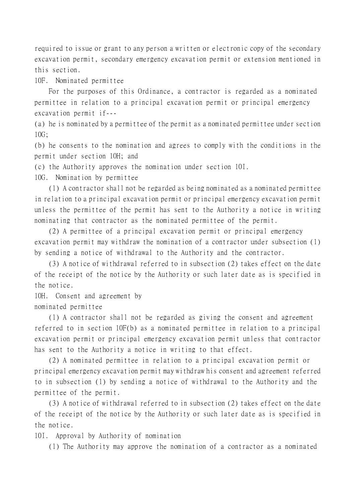required to issue or grant to any person a written or electronic copy of the secondary excavation permit, secondary emergency excavation permit or extension mentioned in this section.

10F. Nominated permittee

For the purposes of this Ordinance, a contractor is regarded as a nominated permittee in relation to a principal excavation permit or principal emergency excavation permit if---

(a) he is nominated by a permittee of the permit as a nominated permittee under section 10G;

(b) he consents to the nomination and agrees to comply with the conditions in the permit under section 10H; and

(c) the Authority approves the nomination under section 10I.

10G. Nomination by permittee

(1) A contractor shall not be regarded as being nominated as a nominated permittee in relation to a principal excavation permit or principal emergency excavation permit unless the permittee of the permit has sent to the Authority a notice in writing nominating that contractor as the nominated permittee of the permit.

(2) A permittee of a principal excavation permit or principal emergency excavation permit may withdraw the nomination of a contractor under subsection (1) by sending a notice of withdrawal to the Authority and the contractor.

(3) A notice of withdrawal referred to in subsection (2) takes effect on the date of the receipt of the notice by the Authority or such later date as is specified in the notice.

10H. Consent and agreement by nominated permittee

(1) A contractor shall not be regarded as giving the consent and agreement referred to in section 10F(b) as a nominated permittee in relation to a principal excavation permit or principal emergency excavation permit unless that contractor has sent to the Authority a notice in writing to that effect.

(2) A nominated permittee in relation to a principal excavation permit or principal emergency excavation permit may withdraw his consent and agreement referred to in subsection (1) by sending a notice of withdrawal to the Authority and the permittee of the permit.

(3) A notice of withdrawal referred to in subsection (2) takes effect on the date of the receipt of the notice by the Authority or such later date as is specified in the notice.

10I. Approval by Authority of nomination

(1) The Authority may approve the nomination of a contractor as a nominated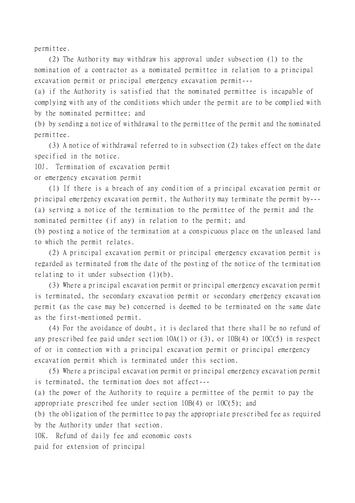permittee.

(2) The Authority may withdraw his approval under subsection (1) to the nomination of a contractor as a nominated permittee in relation to a principal excavation permit or principal emergency excavation permit---

(a) if the Authority is satisfied that the nominated permittee is incapable of complying with any of the conditions which under the permit are to be complied with by the nominated permittee; and

(b) by sending a notice of withdrawal to the permittee of the permit and the nominated permittee.

(3) A notice of withdrawal referred to in subsection (2) takes effect on the date specified in the notice.

10J. Termination of excavation permit

or emergency excavation permit

(1) If there is a breach of any condition of a principal excavation permit or principal emergency excavation permit, the Authority may terminate the permit by--- (a) serving a notice of the termination to the permittee of the permit and the nominated permittee (if any) in relation to the permit; and

(b) posting a notice of the termination at a conspicuous place on the unleased land to which the permit relates.

(2) A principal excavation permit or principal emergency excavation permit is regarded as terminated from the date of the posting of the notice of the termination relating to it under subsection (1)(b).

(3) Where a principal excavation permit or principal emergency excavation permit is terminated, the secondary excavation permit or secondary emergency excavation permit (as the case may be) concerned is deemed to be terminated on the same date as the first-mentioned permit.

(4) For the avoidance of doubt, it is declared that there shall be no refund of any prescribed fee paid under section 10A(1) or (3), or 10B(4) or 10C(5) in respect of or in connection with a principal excavation permit or principal emergency excavation permit which is terminated under this section.

(5) Where a principal excavation permit or principal emergency excavation permit is terminated, the termination does not affect---

(a) the power of the Authority to require a permittee of the permit to pay the appropriate prescribed fee under section  $10B(4)$  or  $10C(5)$ ; and

(b) the obligation of the permittee to pay the appropriate prescribed fee as required by the Authority under that section.

10K. Refund of daily fee and economic costs

paid for extension of principal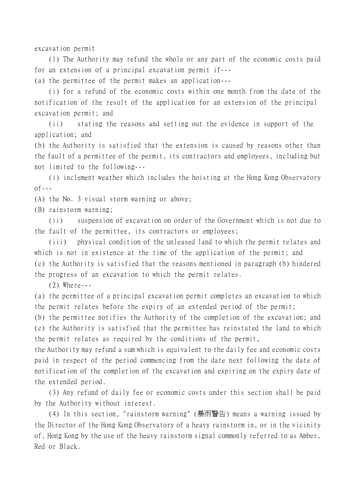excavation permit

(1) The Authority may refund the whole or any part of the economic costs paid for an extension of a principal excavation permit if---

(a) the permittee of the permit makes an application---

(i) for a refund of the economic costs within one month from the date of the notification of the result of the application for an extension of the principal excavation permit; and

(ii) stating the reasons and setting out the evidence in support of the application; and

(b) the Authority is satisfied that the extension is caused by reasons other than the fault of a permittee of the permit, its contractors and employees, including but not limited to the following---

(i) inclement weather which includes the hoisting at the Hong Kong Observatory  $0f--$ 

(A) the No. 3 visual storm warning or above;

(B) rainstorm warning;

(ii) suspension of excavation on order of the Government which is not due to the fault of the permittee, its contractors or employees;

(iii) physical condition of the unleased land to which the permit relates and which is not in existence at the time of the application of the permit; and (c) the Authority is satisfied that the reasons mentioned in paragraph (b) hindered the progress of an excavation to which the permit relates.

(2) Where---

(a) the permittee of a principal excavation permit completes an excavation to which the permit relates before the expiry of an extended period of the permit;

(b) the permittee notifies the Authority of the completion of the excavation; and (c) the Authority is satisfied that the permittee has reinstated the land to which the permit relates as required by the conditions of the permit,

the Authority may refund a sum which is equivalent to the daily fee and economic costs paid in respect of the period commencing from the date next following the date of notification of the completion of the excavation and expiring on the expiry date of the extended period.

(3) Any refund of daily fee or economic costs under this section shall be paid by the Authority without interest.

(4) In this section, "rainstorm warning" (暴雨警告) means a warning issued by the Director of the Hong Kong Observatory of a heavy rainstorm in, or in the vicinity of, Hong Kong by the use of the heavy rainstorm signal commonly referred to as Amber, Red or Black.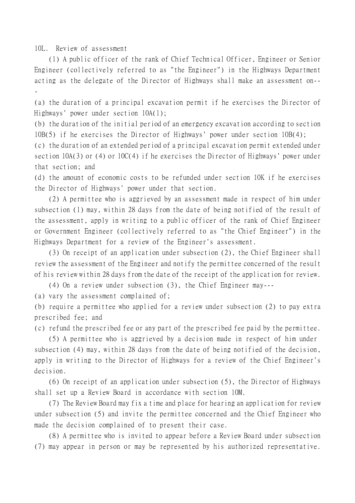10L. Review of assessment

(1) A public officer of the rank of Chief Technical Officer, Engineer or Senior Engineer (collectively referred to as "the Engineer") in the Highways Department acting as the delegate of the Director of Highways shall make an assessment on-- -

(a) the duration of a principal excavation permit if he exercises the Director of Highways' power under section 10A(1);

(b) the duration of the initial period of an emergency excavation according to section 10B(5) if he exercises the Director of Highways' power under section 10B(4);

(c) the duration of an extended period of a principal excavation permit extended under section 10A(3) or (4) or 10C(4) if he exercises the Director of Highways' power under that section; and

(d) the amount of economic costs to be refunded under section 10K if he exercises the Director of Highways' power under that section.

(2) A permittee who is aggrieved by an assessment made in respect of him under subsection (1) may, within 28 days from the date of being notified of the result of the assessment, apply in writing to a public officer of the rank of Chief Engineer or Government Engineer (collectively referred to as "the Chief Engineer") in the Highways Department for a review of the Engineer's assessment.

(3) On receipt of an application under subsection (2), the Chief Engineer shall review the assessment of the Engineer and notify the permittee concerned of the result of his review within 28 days from the date of the receipt of the application for review.

(4) On a review under subsection (3), the Chief Engineer may---

(a) vary the assessment complained of;

(b) require a permittee who applied for a review under subsection (2) to pay extra prescribed fee; and

(c) refund the prescribed fee or any part of the prescribed fee paid by the permittee.

(5) A permittee who is aggrieved by a decision made in respect of him under subsection (4) may, within 28 days from the date of being notified of the decision, apply in writing to the Director of Highways for a review of the Chief Engineer's decision.

(6) On receipt of an application under subsection (5), the Director of Highways shall set up a Review Board in accordance with section 10M.

(7) The Review Board may fix a time and place for hearing an application for review under subsection (5) and invite the permittee concerned and the Chief Engineer who made the decision complained of to present their case.

(8) A permittee who is invited to appear before a Review Board under subsection (7) may appear in person or may be represented by his authorized representative.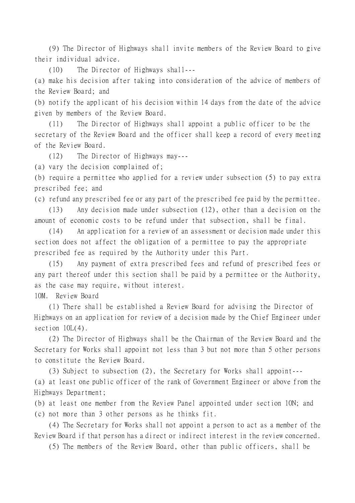(9) The Director of Highways shall invite members of the Review Board to give their individual advice.

(10) The Director of Highways shall---

(a) make his decision after taking into consideration of the advice of members of the Review Board; and

(b) notify the applicant of his decision within 14 days from the date of the advice given by members of the Review Board.

(11) The Director of Highways shall appoint a public officer to be the secretary of the Review Board and the officer shall keep a record of every meeting of the Review Board.

(12) The Director of Highways may---

(a) vary the decision complained of;

(b) require a permittee who applied for a review under subsection (5) to pay extra prescribed fee; and

(c) refund any prescribed fee or any part of the prescribed fee paid by the permittee.

(13) Any decision made under subsection (12), other than a decision on the amount of economic costs to be refund under that subsection, shall be final.

(14) An application for a review of an assessment or decision made under this section does not affect the obligation of a permittee to pay the appropriate prescribed fee as required by the Authority under this Part.

(15) Any payment of extra prescribed fees and refund of prescribed fees or any part thereof under this section shall be paid by a permittee or the Authority, as the case may require, without interest.

10M. Review Board

(1) There shall be established a Review Board for advising the Director of Highways on an application for review of a decision made by the Chief Engineer under section  $10L(4)$ .

(2) The Director of Highways shall be the Chairman of the Review Board and the Secretary for Works shall appoint not less than 3 but not more than 5 other persons to constitute the Review Board.

(3) Subject to subsection (2), the Secretary for Works shall appoint--- (a) at least one public officer of the rank of Government Engineer or above from the Highways Department;

(b) at least one member from the Review Panel appointed under section 10N; and (c) not more than 3 other persons as he thinks fit.

(4) The Secretary for Works shall not appoint a person to act as a member of the Review Board if that person has a direct or indirect interest in the review concerned.

(5) The members of the Review Board, other than public officers, shall be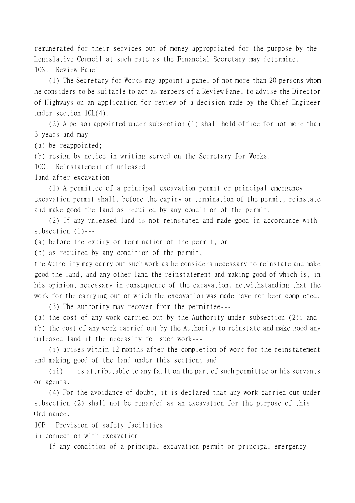remunerated for their services out of money appropriated for the purpose by the Legislative Council at such rate as the Financial Secretary may determine. 10N. Review Panel

(1) The Secretary for Works may appoint a panel of not more than 20 persons whom he considers to be suitable to act as members of a Review Panel to advise the Director of Highways on an application for review of a decision made by the Chief Engineer under section 10L(4).

(2) A person appointed under subsection (1) shall hold office for not more than 3 years and may---

(a) be reappointed;

(b) resign by notice in writing served on the Secretary for Works.

10O. Reinstatement of unleased

land after excavation

(1) A permittee of a principal excavation permit or principal emergency excavation permit shall, before the expiry or termination of the permit, reinstate and make good the land as required by any condition of the permit.

(2) If any unleased land is not reinstated and made good in accordance with subsection (1)---

(a) before the expiry or termination of the permit; or

(b) as required by any condition of the permit,

the Authority may carry out such work as he considers necessary to reinstate and make good the land, and any other land the reinstatement and making good of which is, in his opinion, necessary in consequence of the excavation, notwithstanding that the work for the carrying out of which the excavation was made have not been completed.

(3) The Authority may recover from the permittee---

(a) the cost of any work carried out by the Authority under subsection (2); and (b) the cost of any work carried out by the Authority to reinstate and make good any unleased land if the necessity for such work---

(i) arises within 12 months after the completion of work for the reinstatement and making good of the land under this section; and

(ii) is attributable to any fault on the part of such permittee or his servants or agents.

(4) For the avoidance of doubt, it is declared that any work carried out under subsection (2) shall not be regarded as an excavation for the purpose of this Ordinance.

10P. Provision of safety facilities

in connection with excavation

If any condition of a principal excavation permit or principal emergency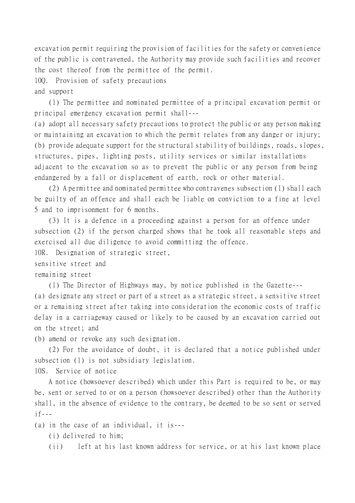excavation permit requiring the provision of facilities for the safety or convenience of the public is contravened, the Authority may provide such facilities and recover the cost thereof from the permittee of the permit.

10Q. Provision of safety precautions

and support

(1) The permittee and nominated permittee of a principal excavation permit or principal emergency excavation permit shall---

(a) adopt all necessary safety precautions to protect the public or any person making or maintaining an excavation to which the permit relates from any danger or injury; (b) provide adequate support for the structural stability of buildings, roads, slopes, structures, pipes, lighting posts, utility services or similar installations adjacent to the excavation so as to prevent the public or any person from being endangered by a fall or displacement of earth, rock or other material.

(2) A permittee and nominated permittee who contravenes subsection (1) shall each be guilty of an offence and shall each be liable on conviction to a fine at level 5 and to imprisonment for 6 months.

(3) It is a defence in a proceeding against a person for an offence under subsection (2) if the person charged shows that he took all reasonable steps and exercised all due diligence to avoid committing the offence.

10R. Designation of strategic street,

sensitive street and

remaining street

(1) The Director of Highways may, by notice published in the Gazette--- (a) designate any street or part of a street as a strategic street, a sensitive street or a remaining street after taking into consideration the economic costs of traffic delay in a carriageway caused or likely to be caused by an excavation carried out on the street; and

(b) amend or revoke any such designation.

(2) For the avoidance of doubt, it is declared that a notice published under subsection (1) is not subsidiary legislation.

10S. Service of notice

A notice (howsoever described) which under this Part is required to be, or may be, sent or served to or on a person (howsoever described) other than the Authority shall, in the absence of evidence to the contrary, be deemed to be so sent or served  $if---$ 

(a) in the case of an individual, it is---

(i) delivered to him;

(ii) left at his last known address for service, or at his last known place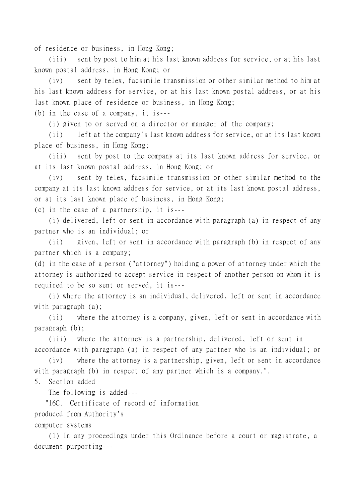of residence or business, in Hong Kong;

(iii) sent by post to him at his last known address for service, or at his last known postal address, in Hong Kong; or

(iv) sent by telex, facsimile transmission or other similar method to him at his last known address for service, or at his last known postal address, or at his last known place of residence or business, in Hong Kong;

(b) in the case of a company, it is---

(i) given to or served on a director or manager of the company;

(ii) left at the company's last known address for service, or at its last known place of business, in Hong Kong;

(iii) sent by post to the company at its last known address for service, or at its last known postal address, in Hong Kong; or

(iv) sent by telex, facsimile transmission or other similar method to the company at its last known address for service, or at its last known postal address, or at its last known place of business, in Hong Kong;

(c) in the case of a partnership, it is---

(i) delivered, left or sent in accordance with paragraph (a) in respect of any partner who is an individual; or

(ii) given, left or sent in accordance with paragraph (b) in respect of any partner which is a company;

(d) in the case of a person ("attorney") holding a power of attorney under which the attorney is authorized to accept service in respect of another person on whom it is required to be so sent or served, it is---

(i) where the attorney is an individual, delivered, left or sent in accordance with paragraph (a);

(ii) where the attorney is a company, given, left or sent in accordance with paragraph (b);

(iii) where the attorney is a partnership, delivered, left or sent in accordance with paragraph (a) in respect of any partner who is an individual; or

(iv) where the attorney is a partnership, given, left or sent in accordance with paragraph (b) in respect of any partner which is a company.".

5. Section added

The following is added---

"16C. Certificate of record of information

produced from Authority's

computer systems

(1) In any proceedings under this Ordinance before a court or magistrate, a document purporting---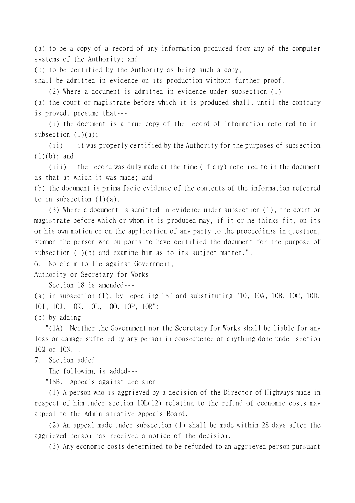(a) to be a copy of a record of any information produced from any of the computer systems of the Authority; and

(b) to be certified by the Authority as being such a copy,

shall be admitted in evidence on its production without further proof.

(2) Where a document is admitted in evidence under subsection (1)---

(a) the court or magistrate before which it is produced shall, until the contrary is proved, presume that---

(i) the document is a true copy of the record of information referred to in subsection  $(1)(a)$ ;

(ii) it was properly certified by the Authority for the purposes of subsection  $(1)(b)$ ; and

(iii) the record was duly made at the time (if any) referred to in the document as that at which it was made; and

(b) the document is prima facie evidence of the contents of the information referred to in subsection  $(1)(a)$ .

(3) Where a document is admitted in evidence under subsection (1), the court or magistrate before which or whom it is produced may, if it or he thinks fit, on its or his own motion or on the application of any party to the proceedings in question, summon the person who purports to have certified the document for the purpose of subsection (1)(b) and examine him as to its subject matter.".

6. No claim to lie against Government,

Authority or Secretary for Works

Section 18 is amended---

(a) in subsection (1), by repealing "8" and substituting "10, 10A, 10B, 10C, 10D, 10I, 10J, 10K, 10L, 10O, 10P, 10R";

(b) by adding---

 "(1A) Neither the Government nor the Secretary for Works shall be liable for any loss or damage suffered by any person in consequence of anything done under section 10M or 10N.".

7. Section added

The following is added---

"18B. Appeals against decision

(1) A person who is aggrieved by a decision of the Director of Highways made in respect of him under section 10L(12) relating to the refund of economic costs may appeal to the Administrative Appeals Board.

(2) An appeal made under subsection (1) shall be made within 28 days after the aggrieved person has received a notice of the decision.

(3) Any economic costs determined to be refunded to an aggrieved person pursuant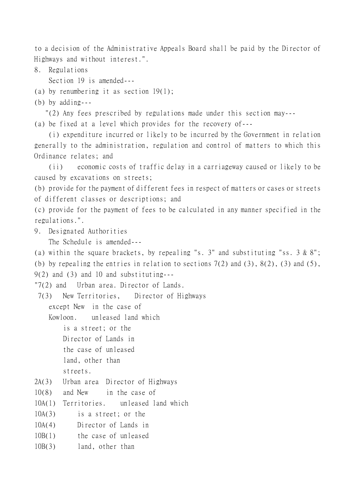to a decision of the Administrative Appeals Board shall be paid by the Director of Highways and without interest.".

8. Regulations

Section 19 is amended---

(a) by renumbering it as section 19(1);

(b) by adding---

"(2) Any fees prescribed by regulations made under this section may---

(a) be fixed at a level which provides for the recovery of---

(i) expenditure incurred or likely to be incurred by the Government in relation generally to the administration, regulation and control of matters to which this Ordinance relates; and

(ii) economic costs of traffic delay in a carriageway caused or likely to be caused by excavations on streets;

(b) provide for the payment of different fees in respect of matters or cases or streets of different classes or descriptions; and

(c) provide for the payment of fees to be calculated in any manner specified in the regulations.".

9. Designated Authorities

The Schedule is amended---

(a) within the square brackets, by repealing "s. 3" and substituting "ss. 3 & 8"; (b) by repealing the entries in relation to sections  $7(2)$  and  $(3)$ ,  $8(2)$ ,  $(3)$  and  $(5)$ ,  $9(2)$  and  $(3)$  and  $10$  and substituting---

"7(2) and Urban area. Director of Lands.

7(3) New Territories, Director of Highways

except New in the case of

Kowloon. unleased land which

is a street; or the Director of Lands in the case of unleased

land, other than

streets.

2A(3) Urban area Director of Highways

10(8) and New in the case of

10A(1) Territories. unleased land which

10A(3) is a street; or the

10A(4) Director of Lands in

10B(1) the case of unleased

10B(3) land, other than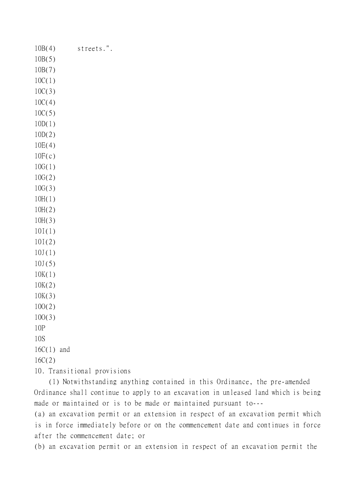10B(4) streets.". 10B(5) 10B(7) 10C(1) 10C(3) 10C(4) 10C(5) 10D(1) 10D(2) 10E(4)  $10F(c)$ 10G(1) 10G(2) 10G(3) 10H(1) 10H(2) 10H(3) 10I(1) 10I(2)  $10J(1)$ 10J(5) 10K(1) 10K(2) 10K(3) 10O(2) 10O(3) 10P 10S 16C(1) and 16C(2) 10. Transitional provisions

(1) Notwithstanding anything contained in this Ordinance, the pre-amended Ordinance shall continue to apply to an excavation in unleased land which is being made or maintained or is to be made or maintained pursuant to---

(a) an excavation permit or an extension in respect of an excavation permit which is in force immediately before or on the commencement date and continues in force after the commencement date; or

(b) an excavation permit or an extension in respect of an excavation permit the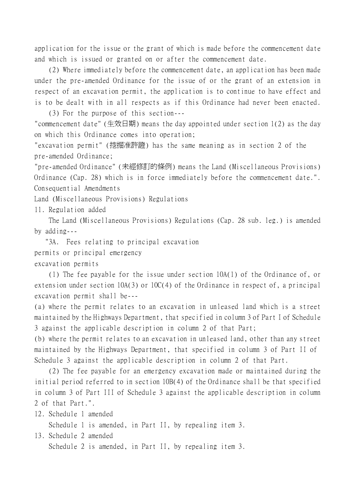application for the issue or the grant of which is made before the commencement date and which is issued or granted on or after the commencement date.

(2) Where immediately before the commencement date, an application has been made under the pre-amended Ordinance for the issue of or the grant of an extension in respect of an excavation permit, the application is to continue to have effect and is to be dealt with in all respects as if this Ordinance had never been enacted.

(3) For the purpose of this section--- "commencement date" (生效日期) means the day appointed under section 1(2) as the day on which this Ordinance comes into operation;

"excavation permit" (挖掘准許證) has the same meaning as in section 2 of the pre-amended Ordinance;

"pre-amended Ordinance" (未經修訂的條例) means the Land (Miscellaneous Provisions) Ordinance (Cap. 28) which is in force immediately before the commencement date.". Consequential Amendments

Land (Miscellaneous Provisions) Regulations

11. Regulation added

The Land (Miscellaneous Provisions) Regulations (Cap. 28 sub. leg.) is amended by adding---

 "3A. Fees relating to principal excavation permits or principal emergency

excavation permits

(1) The fee payable for the issue under section 10A(1) of the Ordinance of, or extension under section 10A(3) or 10C(4) of the Ordinance in respect of, a principal excavation permit shall be---

(a) where the permit relates to an excavation in unleased land which is a street maintained by the Highways Department, that specified in column 3 of Part I of Schedule 3 against the applicable description in column 2 of that Part;

(b) where the permit relates to an excavation in unleased land, other than any street maintained by the Highways Department, that specified in column 3 of Part II of Schedule 3 against the applicable description in column 2 of that Part.

(2) The fee payable for an emergency excavation made or maintained during the initial period referred to in section 10B(4) of the Ordinance shall be that specified in column 3 of Part III of Schedule 3 against the applicable description in column 2 of that Part.".

12. Schedule 1 amended

Schedule 1 is amended, in Part II, by repealing item 3.

13. Schedule 2 amended

Schedule 2 is amended, in Part II, by repealing item 3.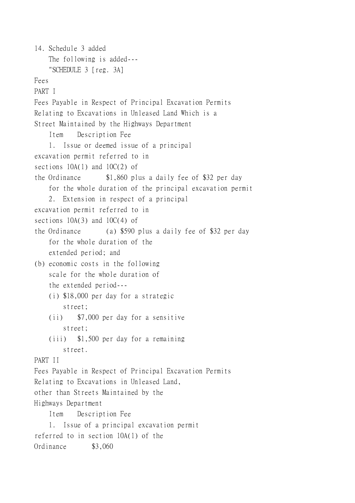14. Schedule 3 added The following is added--- "SCHEDULE 3 [reg. 3A] Fees PART I Fees Payable in Respect of Principal Excavation Permits Relating to Excavations in Unleased Land Which is a Street Maintained by the Highways Department Item Description Fee 1. Issue or deemed issue of a principal excavation permit referred to in sections 10A(1) and 10C(2) of the Ordinance \$1,860 plus a daily fee of \$32 per day for the whole duration of the principal excavation permit 2. Extension in respect of a principal excavation permit referred to in sections 10A(3) and 10C(4) of the Ordinance (a) \$590 plus a daily fee of \$32 per day for the whole duration of the extended period; and (b) economic costs in the following scale for the whole duration of the extended period--- (i) \$18,000 per day for a strategic street; (ii) \$7,000 per day for a sensitive street; (iii) \$1,500 per day for a remaining street. PART II Fees Payable in Respect of Principal Excavation Permits Relating to Excavations in Unleased Land, other than Streets Maintained by the Highways Department Item Description Fee 1. Issue of a principal excavation permit referred to in section 10A(1) of the Ordinance \$3,060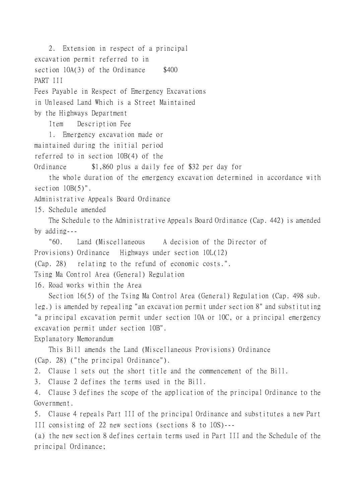2. Extension in respect of a principal excavation permit referred to in section  $10A(3)$  of the Ordinance  $$400$ PART III Fees Payable in Respect of Emergency Excavations in Unleased Land Which is a Street Maintained by the Highways Department Item Description Fee 1. Emergency excavation made or maintained during the initial period referred to in section 10B(4) of the Ordinance \$1,860 plus a daily fee of \$32 per day for the whole duration of the emergency excavation determined in accordance with section  $10B(5)$ ". Administrative Appeals Board Ordinance 15. Schedule amended The Schedule to the Administrative Appeals Board Ordinance (Cap. 442) is amended by adding--- "60. Land (Miscellaneous A decision of the Director of Provisions) Ordinance Highways under section 10L(12) (Cap. 28) relating to the refund of economic costs.". Tsing Ma Control Area (General) Regulation 16. Road works within the Area Section 16(5) of the Tsing Ma Control Area (General) Regulation (Cap. 498 sub. leg.) is amended by repealing "an excavation permit under section 8" and substituting "a principal excavation permit under section 10A or 10C, or a principal emergency excavation permit under section 10B". Explanatory Memorandum This Bill amends the Land (Miscellaneous Provisions) Ordinance (Cap. 28) ("the principal Ordinance"). 2. Clause 1 sets out the short title and the commencement of the Bill. 3. Clause 2 defines the terms used in the Bill. 4. Clause 3 defines the scope of the application of the principal Ordinance to the Government. 5. Clause 4 repeals Part III of the principal Ordinance and substitutes a new Part III consisting of 22 new sections (sections 8 to 10S)--- (a) the new section 8 defines certain terms used in Part III and the Schedule of the principal Ordinance;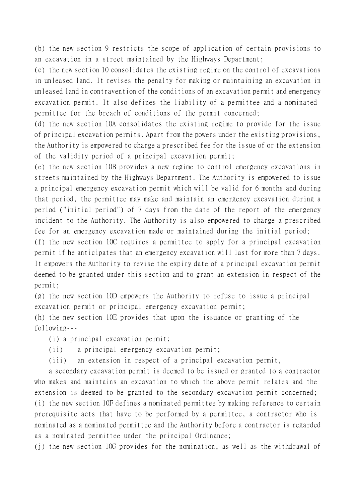(b) the new section 9 restricts the scope of application of certain provisions to an excavation in a street maintained by the Highways Department;

(c) the new section 10 consolidates the existing regime on the control of excavations in unleased land. It revises the penalty for making or maintaining an excavation in unleased land in contravention of the conditions of an excavation permit and emergency excavation permit. It also defines the liability of a permittee and a nominated permittee for the breach of conditions of the permit concerned;

(d) the new section 10A consolidates the existing regime to provide for the issue of principal excavation permits. Apart from the powers under the existing provisions, the Authority is empowered to charge a prescribed fee for the issue of or the extension of the validity period of a principal excavation permit;

(e) the new section 10B provides a new regime to control emergency excavations in streets maintained by the Highways Department. The Authority is empowered to issue a principal emergency excavation permit which will be valid for 6 months and during that period, the permittee may make and maintain an emergency excavation during a period ("initial period") of 7 days from the date of the report of the emergency incident to the Authority. The Authority is also empowered to charge a prescribed fee for an emergency excavation made or maintained during the initial period;

(f) the new section 10C requires a permittee to apply for a principal excavation permit if he anticipates that an emergency excavation will last for more than 7 days. It empowers the Authority to revise the expiry date of a principal excavation permit deemed to be granted under this section and to grant an extension in respect of the permit;

(g) the new section 10D empowers the Authority to refuse to issue a principal excavation permit or principal emergency excavation permit;

(h) the new section 10E provides that upon the issuance or granting of the following---

(i) a principal excavation permit;

(ii) a principal emergency excavation permit;

(iii) an extension in respect of a principal excavation permit,

a secondary excavation permit is deemed to be issued or granted to a contractor who makes and maintains an excavation to which the above permit relates and the extension is deemed to be granted to the secondary excavation permit concerned; (i) the new section 10F defines a nominated permittee by making reference to certain prerequisite acts that have to be performed by a permittee, a contractor who is nominated as a nominated permittee and the Authority before a contractor is regarded as a nominated permittee under the principal Ordinance;

(j) the new section 10G provides for the nomination, as well as the withdrawal of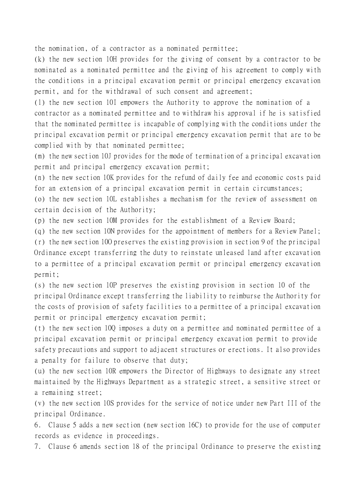the nomination, of a contractor as a nominated permittee;

(k) the new section 10H provides for the giving of consent by a contractor to be nominated as a nominated permittee and the giving of his agreement to comply with the conditions in a principal excavation permit or principal emergency excavation permit, and for the withdrawal of such consent and agreement;

(l) the new section 10I empowers the Authority to approve the nomination of a contractor as a nominated permittee and to withdraw his approval if he is satisfied that the nominated permittee is incapable of complying with the conditions under the principal excavation permit or principal emergency excavation permit that are to be complied with by that nominated permittee;

(m) the new section 10J provides for the mode of termination of a principal excavation permit and principal emergency excavation permit;

(n) the new section 10K provides for the refund of daily fee and economic costs paid for an extension of a principal excavation permit in certain circumstances;

(o) the new section 10L establishes a mechanism for the review of assessment on certain decision of the Authority;

(p) the new section 10M provides for the establishment of a Review Board;

(q) the new section 10N provides for the appointment of members for a Review Panel; (r) the new section 10O preserves the existing provision in section 9 of the principal Ordinance except transferring the duty to reinstate unleased land after excavation to a permittee of a principal excavation permit or principal emergency excavation permit;

(s) the new section 10P preserves the existing provision in section 10 of the principal Ordinance except transferring the liability to reimburse the Authority for the costs of provision of safety facilities to a permittee of a principal excavation permit or principal emergency excavation permit;

(t) the new section 10Q imposes a duty on a permittee and nominated permittee of a principal excavation permit or principal emergency excavation permit to provide safety precautions and support to adjacent structures or erections. It also provides a penalty for failure to observe that duty;

(u) the new section 10R empowers the Director of Highways to designate any street maintained by the Highways Department as a strategic street, a sensitive street or a remaining street;

(v) the new section 10S provides for the service of notice under new Part III of the principal Ordinance.

6. Clause 5 adds a new section (new section 16C) to provide for the use of computer records as evidence in proceedings.

7. Clause 6 amends section 18 of the principal Ordinance to preserve the existing